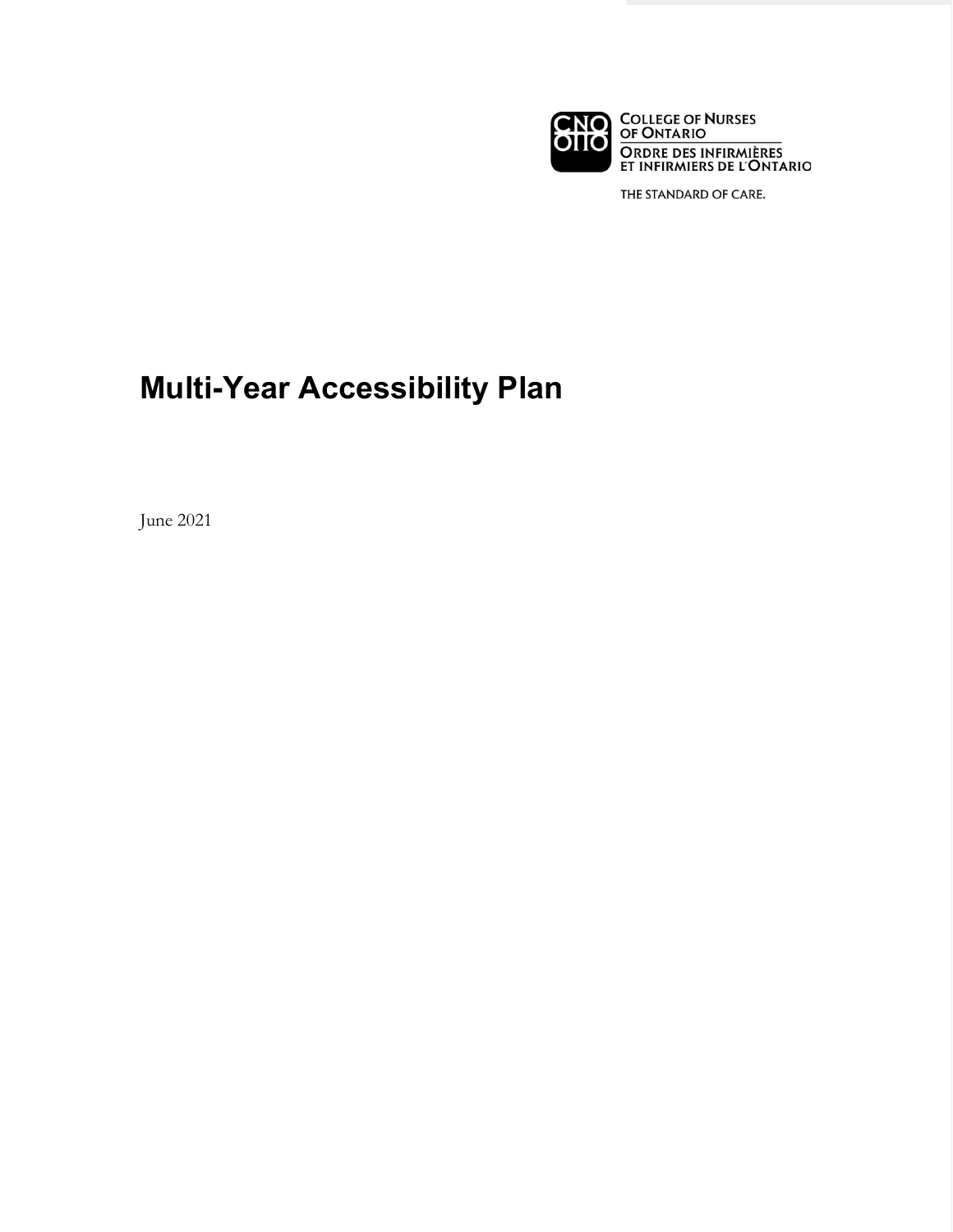

THE STANDARD OF CARE.

# **Multi-Year Accessibility Plan**

June 2021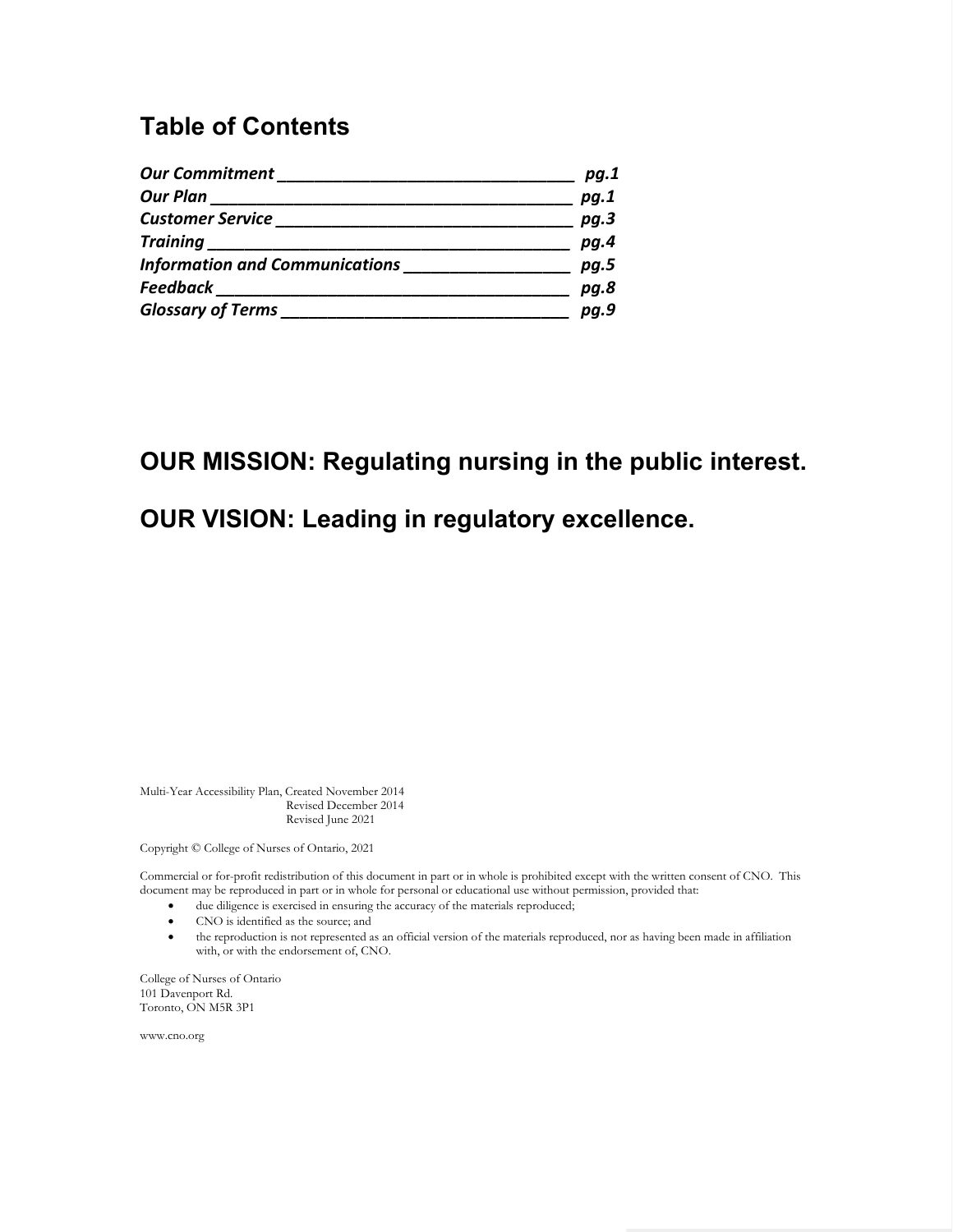### **Table of Contents**

| <b>Our Commitment</b>                 | pg.1 |
|---------------------------------------|------|
| <b>Our Plan</b>                       | pg.1 |
| <b>Customer Service</b>               | pg.3 |
| <b>Training</b>                       | pg.4 |
| <b>Information and Communications</b> | pg.5 |
| <b>Feedback</b>                       | pg.8 |
| <b>Glossary of Terms</b>              | pg.9 |

### **OUR MISSION: Regulating nursing in the public interest.**

### **OUR VISION: Leading in regulatory excellence.**

 Multi-Year Accessibility Plan, Created November 2014 Revised December 2014 Revised June 2021

Copyright © College of Nurses of Ontario, 2021

 Commercial or for-profit redistribution of this document in part or in whole is prohibited except with the written consent of CNO. This document may be reproduced in part or in whole for personal or educational use without permission, provided that:

- due diligence is exercised in ensuring the accuracy of the materials reproduced;
- • CNO is identified as the source; and
- • the reproduction is not represented as an official version of the materials reproduced, nor as having been made in affiliation with, or with the endorsement of, CNO.

College of Nurses of Ontario 101 Davenport Rd. Toronto, ON M5R 3P1

www.cno.org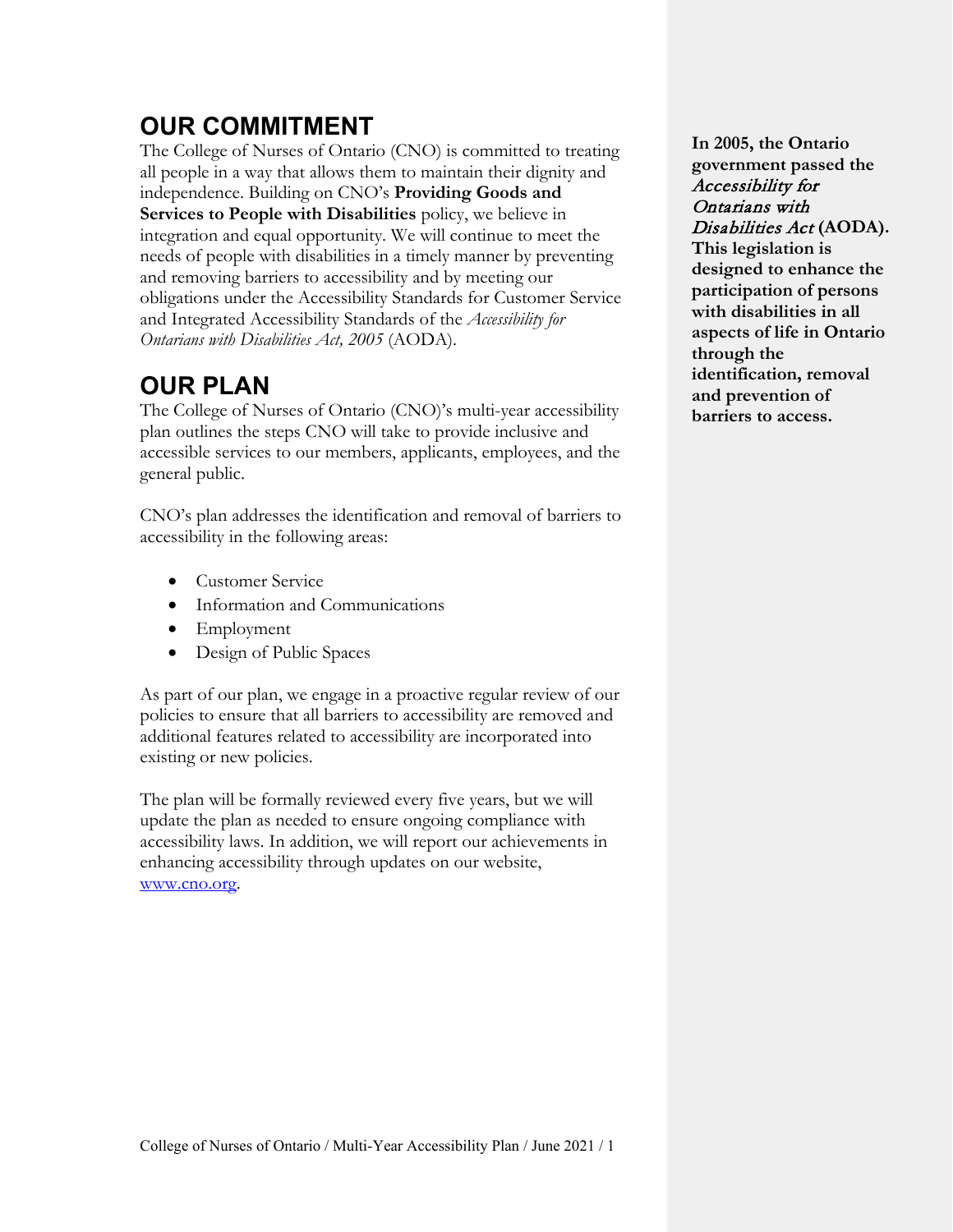### **OUR COMMITMENT**

 The College of Nurses of Ontario (CNO) is committed to treating integration and equal opportunity. We will continue to meet the and removing barriers to accessibility and by meeting our *Ontarians with Disabilities Act, 2005* (AODA). all people in a way that allows them to maintain their dignity and independence. Building on CNO's **Providing Goods and Services to People with Disabilities** policy, we believe in needs of people with disabilities in a timely manner by preventing obligations under the Accessibility Standards for Customer Service and Integrated Accessibility Standards of the *Accessibility for* 

## **OUR PLAN**

 plan outlines the steps CNO will take to provide inclusive and accessible services to our members, applicants, employees, and the The College of Nurses of Ontario (CNO)'s multi-year accessibility general public.

CNO's plan addresses the identification and removal of barriers to accessibility in the following areas:

- Customer Service
- Information and Communications
- Employment
- Design of Public Spaces

 As part of our plan, we engage in a proactive regular review of our existing or new policies. policies to ensure that all barriers to accessibility are removed and additional features related to accessibility are incorporated into

The plan will be formally reviewed every five years, but we will update the plan as needed to ensure ongoing compliance with accessibility laws. In addition, we will report our achievements in enhancing accessibility through updates on our website, [www.cno.org.](http://www.cno.org)

 **participation of persons In 2005, the Ontario government passed the**  Accessibility for Ontarians with Disabilities Act **(AODA). This legislation is designed to enhance the with disabilities in all aspects of life in Ontario through the identification, removal and prevention of barriers to access.**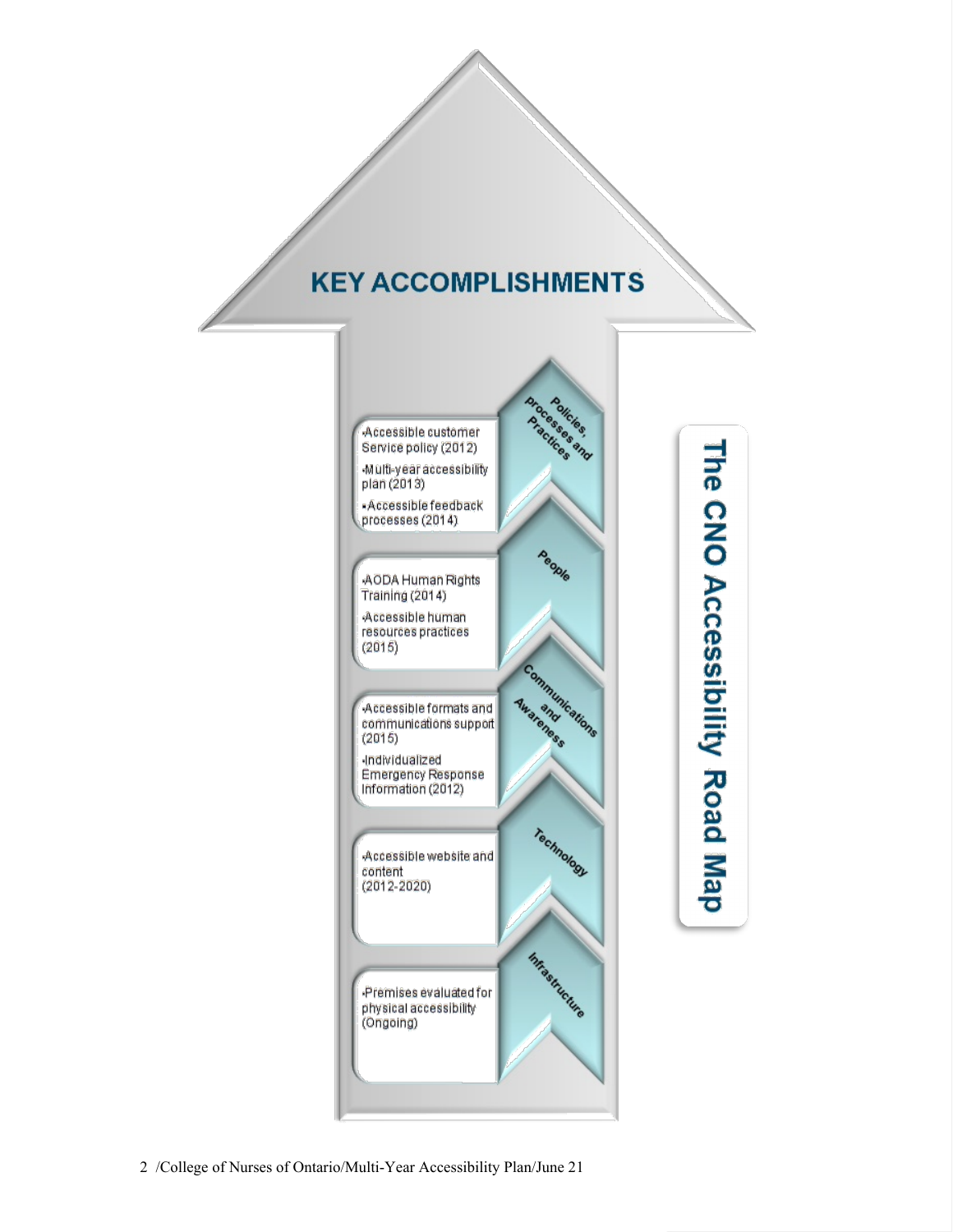## **KEY ACCOMPLISHMENTS**



The CNO Accessibility Road Map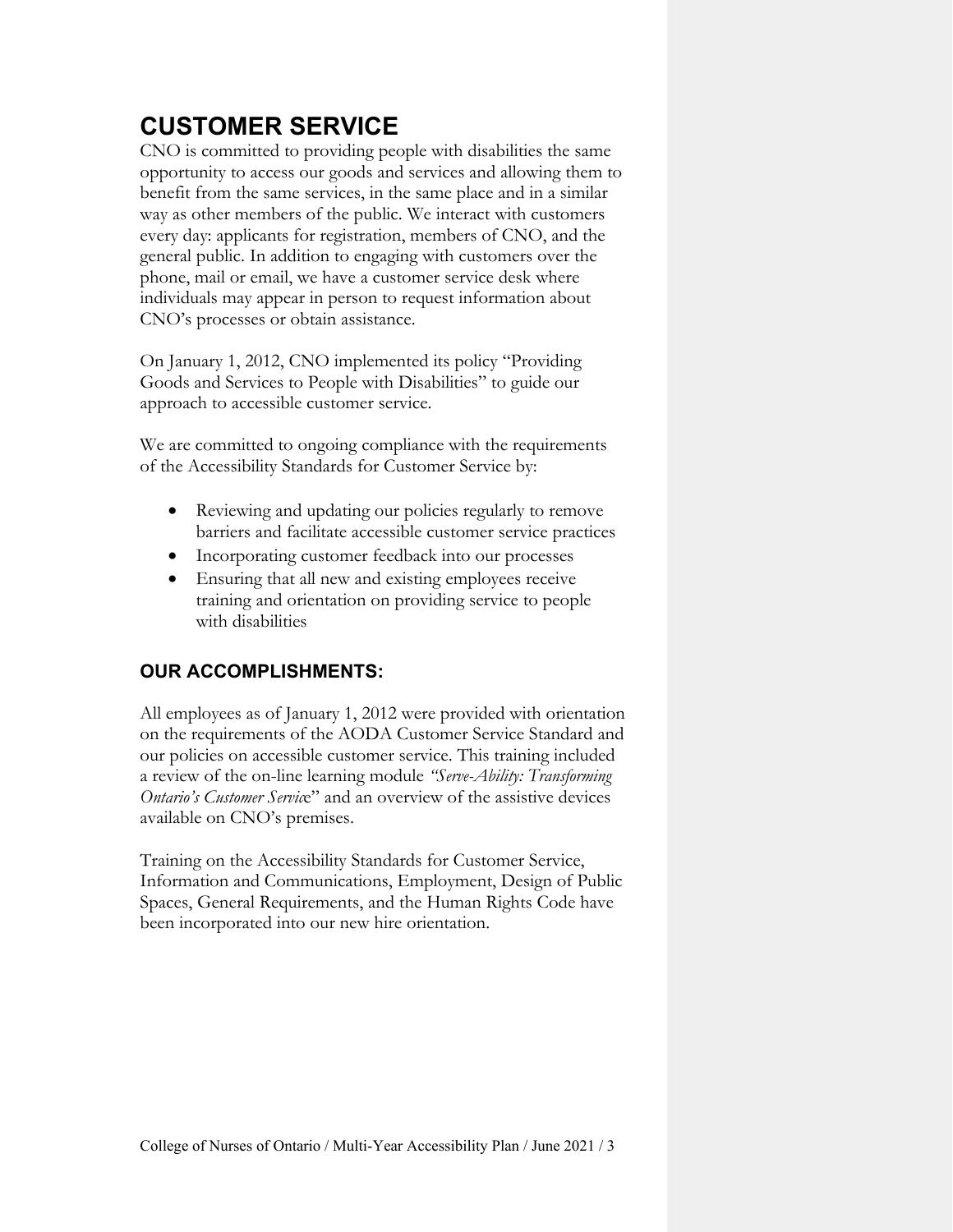### **CUSTOMER SERVICE**

CNO's processes or obtain assistance. CNO is committed to providing people with disabilities the same opportunity to access our goods and services and allowing them to benefit from the same services, in the same place and in a similar way as other members of the public. We interact with customers every day: applicants for registration, members of CNO, and the general public. In addition to engaging with customers over the phone, mail or email, we have a customer service desk where individuals may appear in person to request information about

On January 1, 2012, CNO implemented its policy "Providing Goods and Services to People with Disabilities" to guide our approach to accessible customer service.

We are committed to ongoing compliance with the requirements of the Accessibility Standards for Customer Service by:

- Reviewing and updating our policies regularly to remove barriers and facilitate accessible customer service practices
- Incorporating customer feedback into our processes
- Ensuring that all new and existing employees receive training and orientation on providing service to people with disabilities

### **OUR ACCOMPLISHMENTS:**

 on the requirements of the AODA Customer Service Standard and All employees as of January 1, 2012 were provided with orientation our policies on accessible customer service. This training included a review of the on-line learning module *"Serve-Ability: Transforming Ontario's Customer Servic*e" and an overview of the assistive devices available on CNO's premises.

Training on the Accessibility Standards for Customer Service, Information and Communications, Employment, Design of Public Spaces, General Requirements, and the Human Rights Code have been incorporated into our new hire orientation.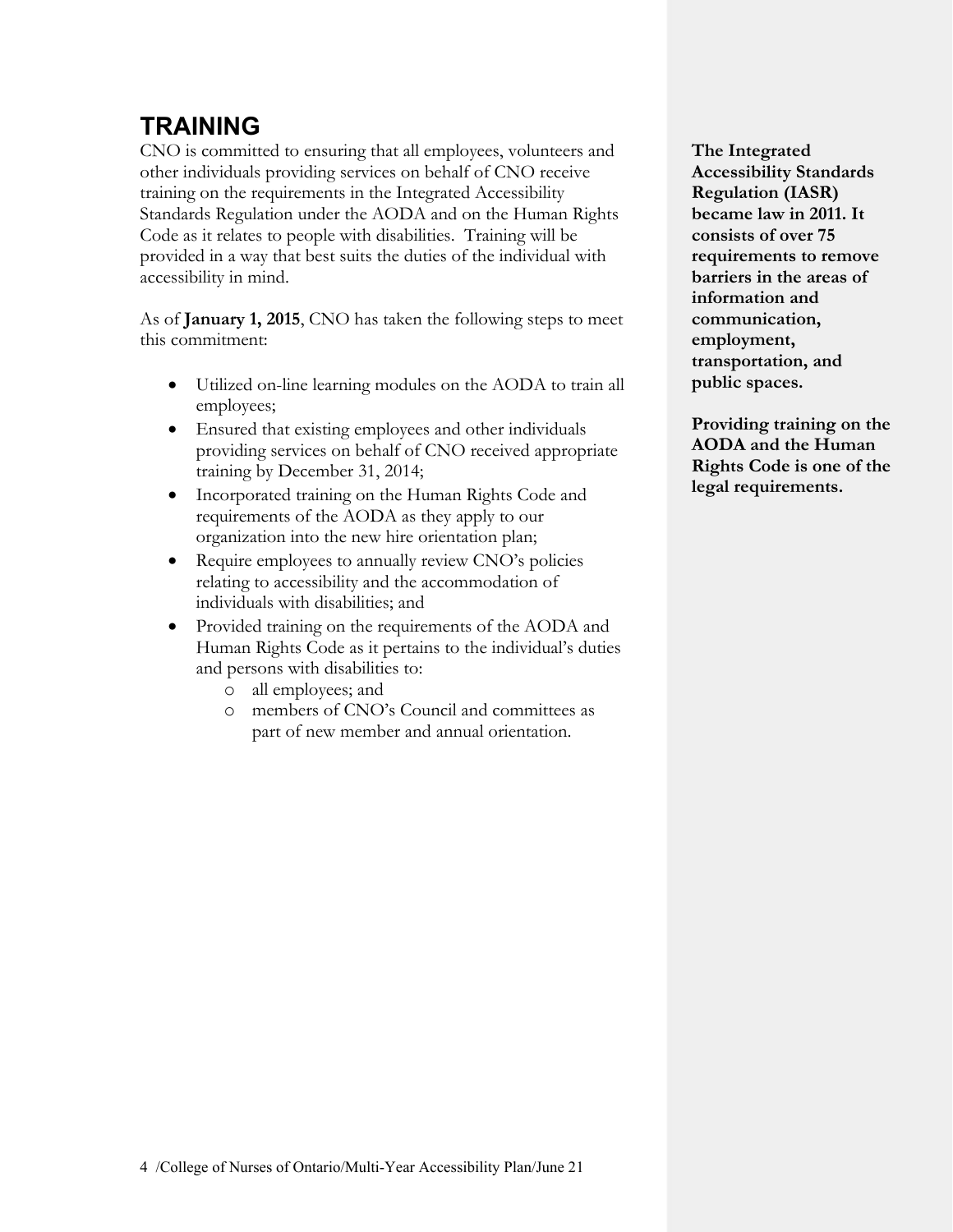### **TRAINING**

CNO is committed to ensuring that all employees, volunteers and other individuals providing services on behalf of CNO receive training on the requirements in the Integrated Accessibility Standards Regulation under the AODA and on the Human Rights Code as it relates to people with disabilities. Training will be provided in a way that best suits the duties of the individual with accessibility in mind.

As of **January 1, 2015**, CNO has taken the following steps to meet this commitment:

- Utilized on-line learning modules on the AODA to train all employees;
- Ensured that existing employees and other individuals providing services on behalf of CNO received appropriate training by December 31, 2014;
- Incorporated training on the Human Rights Code and requirements of the AODA as they apply to our organization into the new hire orientation plan;
- Require employees to annually review CNO's policies relating to accessibility and the accommodation of individuals with disabilities; and
- • Provided training on the requirements of the AODA and Human Rights Code as it pertains to the individual's duties and persons with disabilities to:
	- o all employees; and
	- o members of CNO's Council and committees as part of new member and annual orientation.

**The Integrated Accessibility Standards Regulation (IASR) became law in 2011. It consists of over 75 requirements to remove barriers in the areas of information and communication, employment, transportation, and public spaces.** 

 **Providing training on the AODA and the Human Rights Code is one of the legal requirements.**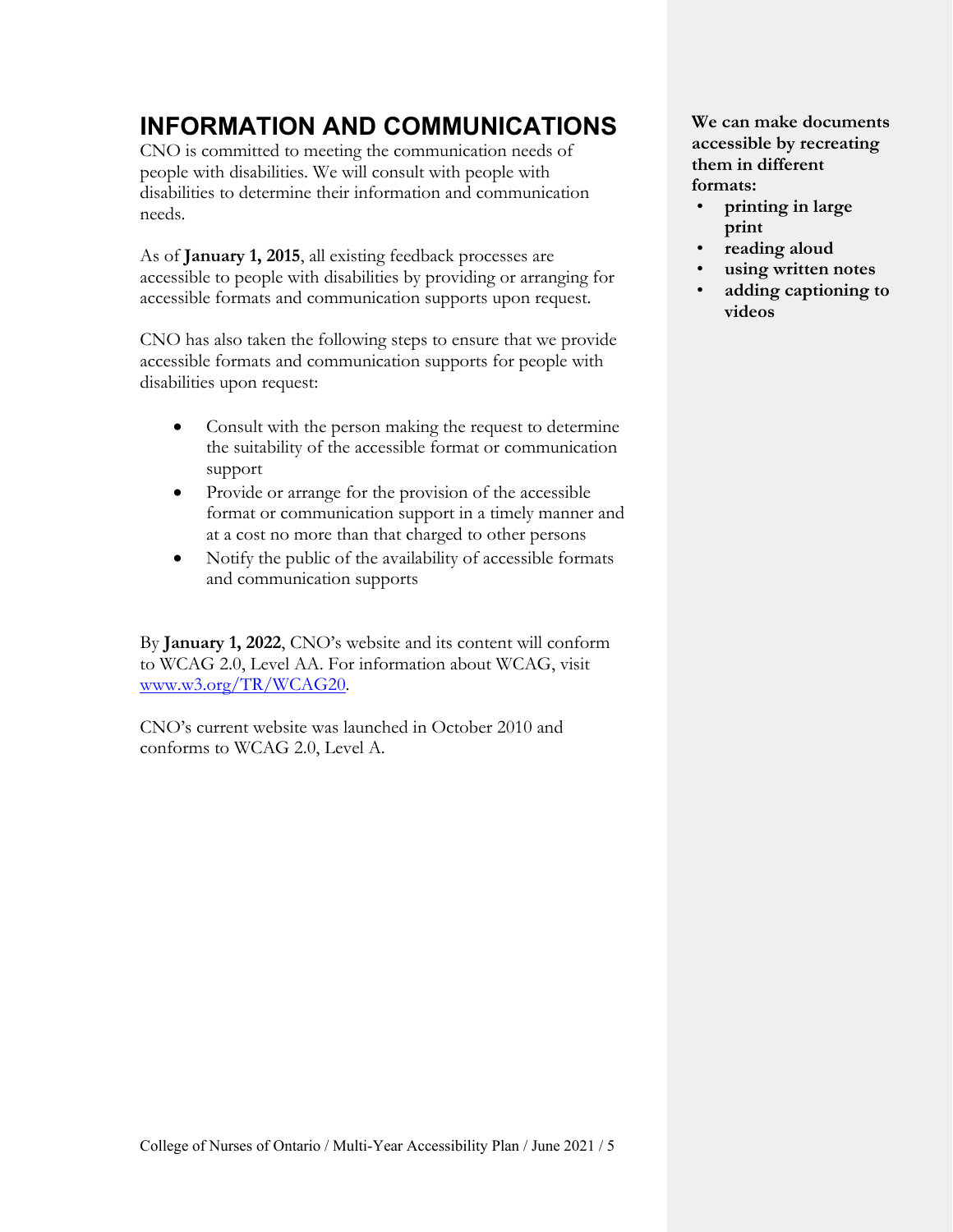### **INFORMATION AND COMMUNICATIONS**

needs. CNO is committed to meeting the communication needs of people with disabilities. We will consult with people with disabilities to determine their information and communication

 accessible to people with disabilities by providing or arranging for As of **January 1, 2015**, all existing feedback processes are accessible formats and communication supports upon request.

 CNO has also taken the following steps to ensure that we provide disabilities upon request: accessible formats and communication supports for people with

- Consult with the person making the request to determine the suitability of the accessible format or communication support
- at a cost no more than that charged to other persons • Provide or arrange for the provision of the accessible format or communication support in a timely manner and
- Notify the public of the availability of accessible formats and communication supports

By **January 1, 2022**, CNO's website and its content will conform to WCAG 2.0, Level AA. For information about WCAG, visit [www.w3.org/TR/WCAG20.](http://www.w3.org/TR/WCAG20)

 CNO's current website was launched in October 2010 and conforms to WCAG 2.0, Level A.

**We can make documents accessible by recreating them in different formats:** 

- **printing in large print**
- **reading aloud**
- **using written notes**
- **adding captioning to videos**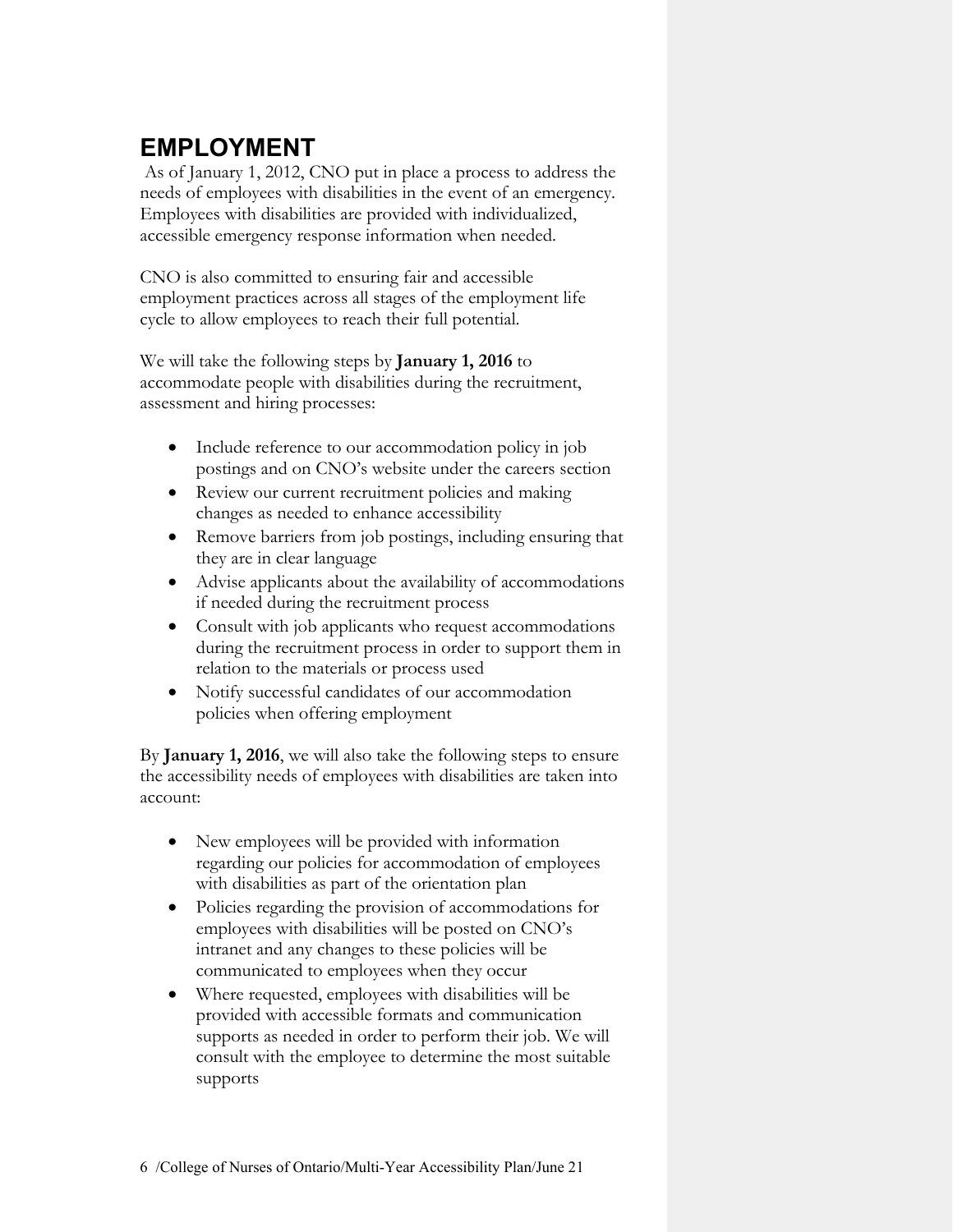### **EMPLOYMENT**

 As of January 1, 2012, CNO put in place a process to address the needs of employees with disabilities in the event of an emergency. Employees with disabilities are provided with individualized, accessible emergency response information when needed.

CNO is also committed to ensuring fair and accessible employment practices across all stages of the employment life cycle to allow employees to reach their full potential.

We will take the following steps by **January 1, 2016** to accommodate people with disabilities during the recruitment, assessment and hiring processes:

- Include reference to our accommodation policy in job postings and on CNO's website under the careers section
- Review our current recruitment policies and making changes as needed to enhance accessibility
- Remove barriers from job postings, including ensuring that they are in clear language
- Advise applicants about the availability of accommodations if needed during the recruitment process
- Consult with job applicants who request accommodations during the recruitment process in order to support them in relation to the materials or process used
- • Notify successful candidates of our accommodation policies when offering employment

 the accessibility needs of employees with disabilities are taken into account: By **January 1, 2016**, we will also take the following steps to ensure

- New employees will be provided with information regarding our policies for accommodation of employees with disabilities as part of the orientation plan
- intranet and any changes to these policies will be • Policies regarding the provision of accommodations for employees with disabilities will be posted on CNO's communicated to employees when they occur
- consult with the employee to determine the most suitable • Where requested, employees with disabilities will be provided with accessible formats and communication supports as needed in order to perform their job. We will supports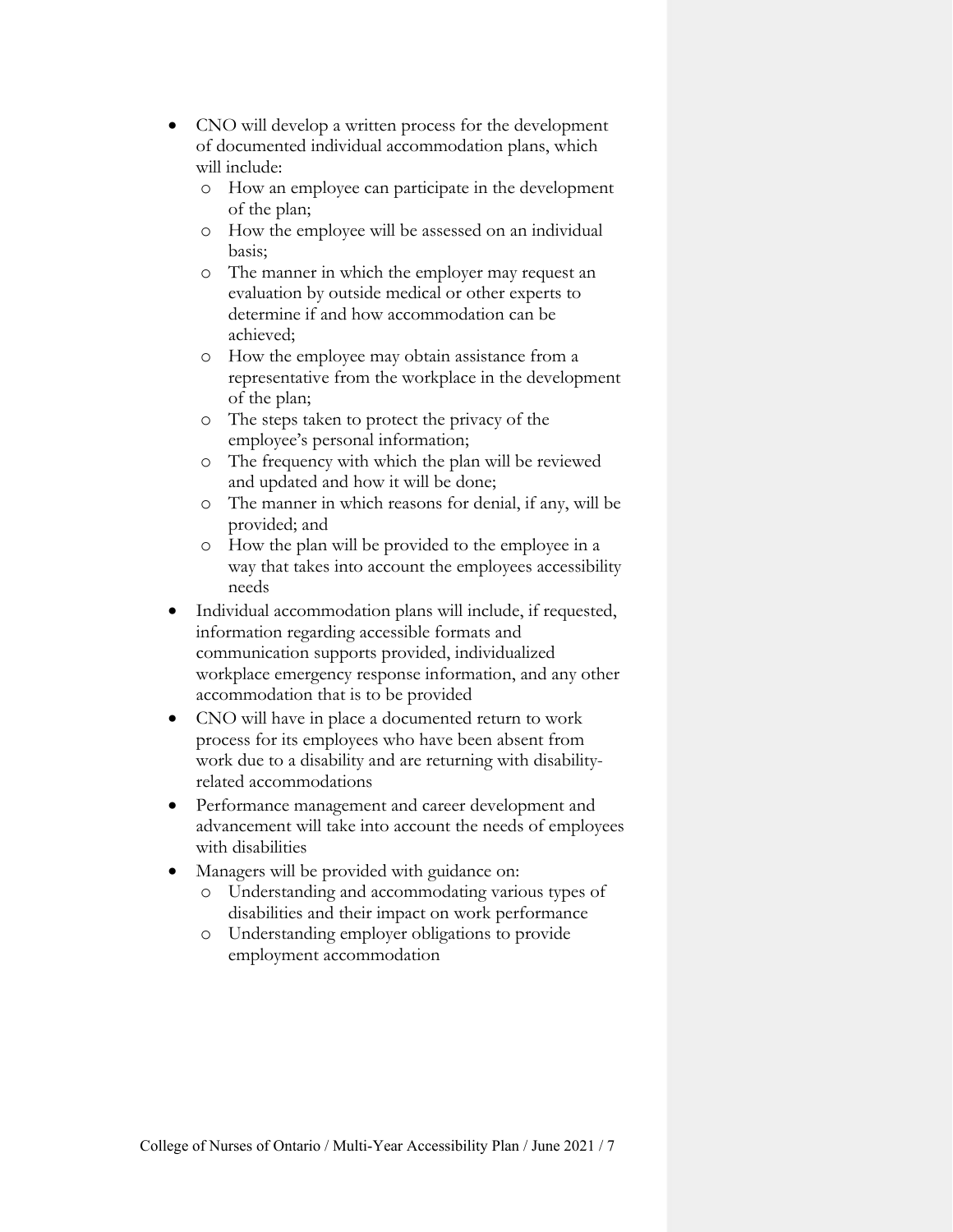- CNO will develop a written process for the development of documented individual accommodation plans, which will include:
	- o How an employee can participate in the development of the plan;
	- o How the employee will be assessed on an individual basis;
	- o The manner in which the employer may request an evaluation by outside medical or other experts to determine if and how accommodation can be achieved;
	- o How the employee may obtain assistance from a representative from the workplace in the development of the plan;
	- o The steps taken to protect the privacy of the employee's personal information;
	- o The frequency with which the plan will be reviewed and updated and how it will be done;
	- o The manner in which reasons for denial, if any, will be provided; and
	- o How the plan will be provided to the employee in a way that takes into account the employees accessibility needs
- Individual accommodation plans will include, if requested, information regarding accessible formats and communication supports provided, individualized workplace emergency response information, and any other accommodation that is to be provided
- CNO will have in place a documented return to work process for its employees who have been absent from work due to a disability and are returning with disabilityrelated accommodations
- Performance management and career development and advancement will take into account the needs of employees with disabilities
- Managers will be provided with guidance on:
	- o Understanding and accommodating various types of disabilities and their impact on work performance
	- o Understanding employer obligations to provide employment accommodation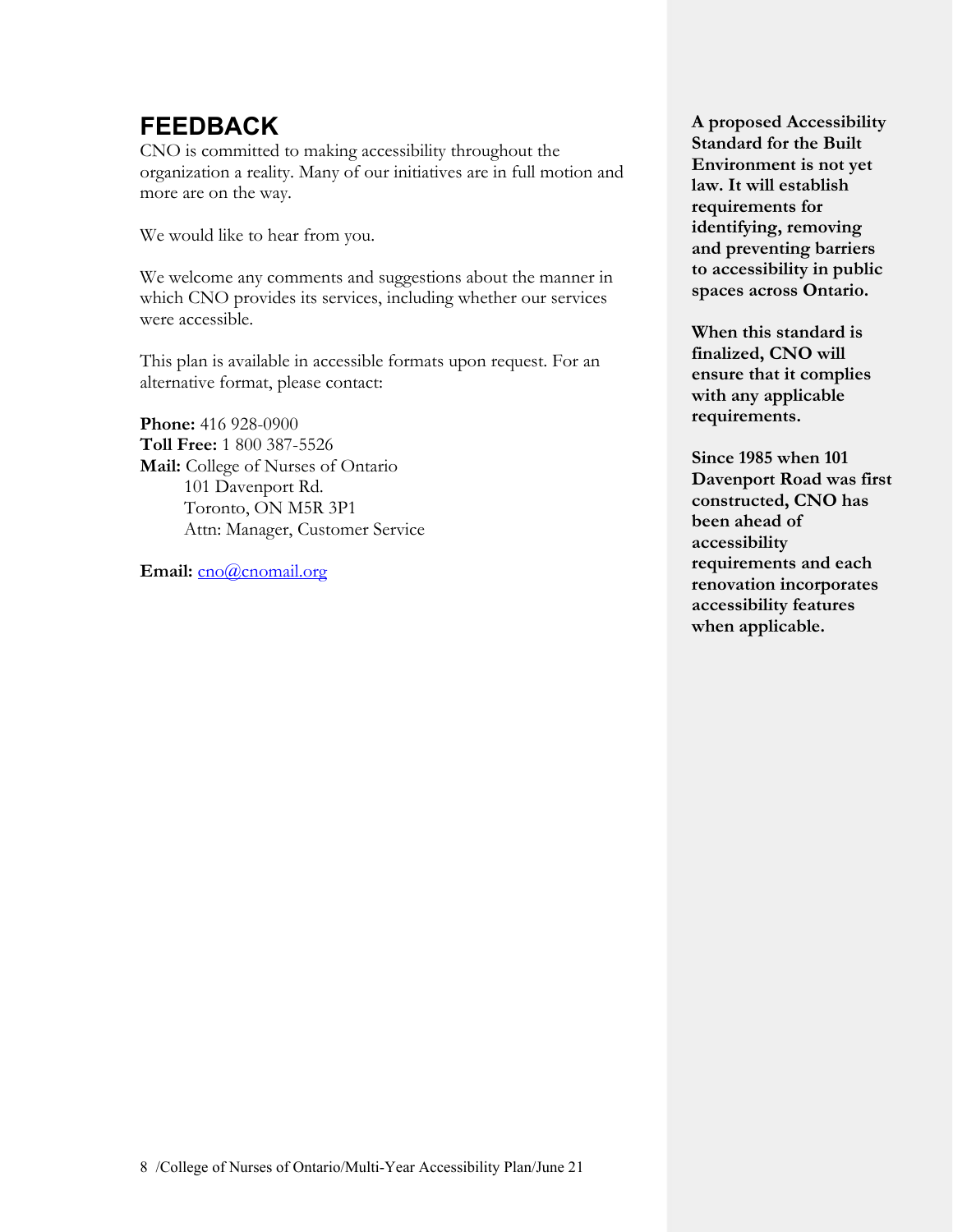### **FEEDBACK**

 more are on the way. CNO is committed to making accessibility throughout the organization a reality. Many of our initiatives are in full motion and

We would like to hear from you.

We welcome any comments and suggestions about the manner in which CNO provides its services, including whether our services were accessible.

This plan is available in accessible formats upon request. For an alternative format, please contact:

**Phone:** 416 928-0900 **Toll Free:** 1 800 387-5526 **Mail:** College of Nurses of Ontario 101 Davenport Rd. Toronto, ON M5R 3P1 Attn: Manager, Customer Service

Email: cno@cnomail.org

 **law. It will establish A proposed Accessibility Standard for the Built Environment is not yet requirements for identifying, removing and preventing barriers to accessibility in public spaces across Ontario.** 

 **finalized, CNO will When this standard is ensure that it complies with any applicable requirements.** 

**Since 1985 when 101 Davenport Road was first constructed, CNO has been ahead of accessibility requirements and each renovation incorporates accessibility features when applicable.**